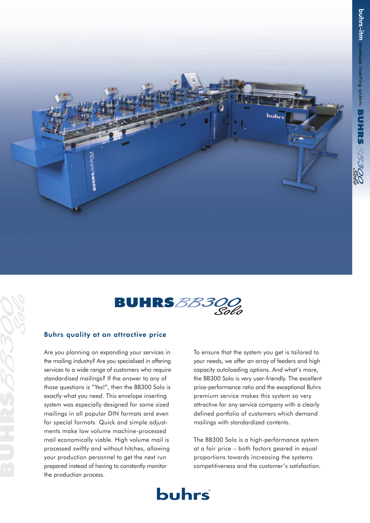



## Buhrs quality at an attractive price

Are you planning on expanding your services in the mailing industry? Are you specialised in offering services to a wide range of customers who require standardised mailings? If the answer to any of those questions is "Yes!", then the BB300 Solo is exactly what you need. This envelope inserting system was especially designed for same sized mailings in all popular DIN formats and even for special formats. Quick and simple adjustments make low volume machine-processed mail economically viable. High volume mail is processed swiftly and without hitches, allowing your production personnel to get the next run prepared instead of having to constantly monitor the production process.

To ensure that the system you get is tailored to your needs, we offer an array of feeders and high capacity autoloading options. And what's more, the BB300 Solo is very user-friendly. The excellent price-performance ratio and the exceptional Buhrs premium service makes this system so very attractive for any service company with a clearly defined portfolio of customers which demand mailings with standardized contents.

The BB300 Solo is a high-performance system at a fair price – both factors geared in equal proportions towards increasing the systems competitiveness and the customer's satisfaction.

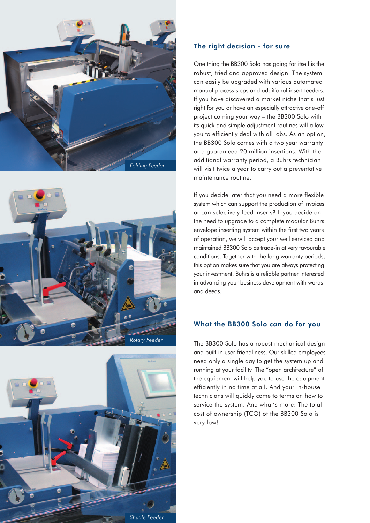





## The right decision - for sure

One thing the BB300 Solo has going for itself is the robust, tried and approved design. The system can easily be upgraded with various automated manual process steps and additional insert feeders. If you have discovered a market niche that's just right for you or have an especially attractive one-off project coming your way – the BB300 Solo with its quick and simple adjustment routines will allow you to efficiently deal with all jobs. As an option, the BB300 Solo comes with a two year warranty or a guaranteed 20 million insertions. With the additional warranty period, a Buhrs technician will visit twice a year to carry out a preventative maintenance routine.

If you decide later that you need a more flexible system which can support the production of invoices or can selectively feed inserts? If you decide on the need to upgrade to a complete modular Buhrs envelope inserting system within the first two years of operation, we will accept your well serviced and maintained BB300 Solo as trade-in at very favourable conditions. Together with the long warranty periods, this option makes sure that you are always protecting your investment. Buhrs is a reliable partner interested in advancing your business development with words and deeds.

## What the BB300 Solo can do for you

The BB300 Solo has a robust mechanical design and built-in user-friendliness. Our skilled employees need only a single day to get the system up and running at your facility. The "open architecture" of the equipment will help you to use the equipment efficiently in no time at all. And your in-house technicians will quickly come to terms on how to service the system. And what's more: The total cost of ownership (TCO) of the BB300 Solo is very low!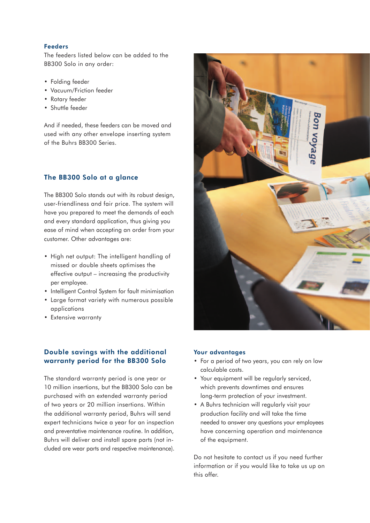### Feeders

The feeders listed below can be added to the BB300 Solo in any order:

- Folding feeder
- Vacuum/Friction feeder
- Rotary feeder
- Shuttle feeder

And if needed, these feeders can be moved and used with any other envelope inserting system of the Buhrs BB300 Series.

# The BB300 Solo at a glance

The BB300 Solo stands out with its robust design, user-friendliness and fair price. The system will have you prepared to meet the demands of each and every standard application, thus giving you ease of mind when accepting an order from your customer. Other advantages are:

- High net output: The intelligent handling of missed or double sheets optimises the effective output – increasing the productivity per employee.
- Intelligent Control System for fault minimisation
- Large format variety with numerous possible applications
- Extensive warranty

# Double savings with the additional warranty period for the BB300 Solo

The standard warranty period is one year or 10 million insertions, but the BB300 Solo can be purchased with an extended warranty period of two years or 20 million insertions. Within the additional warranty period, Buhrs will send expert technicians twice a year for an inspection and preventative maintenance routine. In addition, Buhrs will deliver and install spare parts (not included are wear parts and respective maintenance).



### Your advantages

- For a period of two years, you can rely on low calculable costs.
- Your equipment will be regularly serviced, which prevents downtimes and ensures long-term protection of your investment.
- A Buhrs technician will regularly visit your production facility and will take the time needed to answer any questions your employees have concerning operation and maintenance of the equipment.

Do not hesitate to contact us if you need further information or if you would like to take us up on this offer.